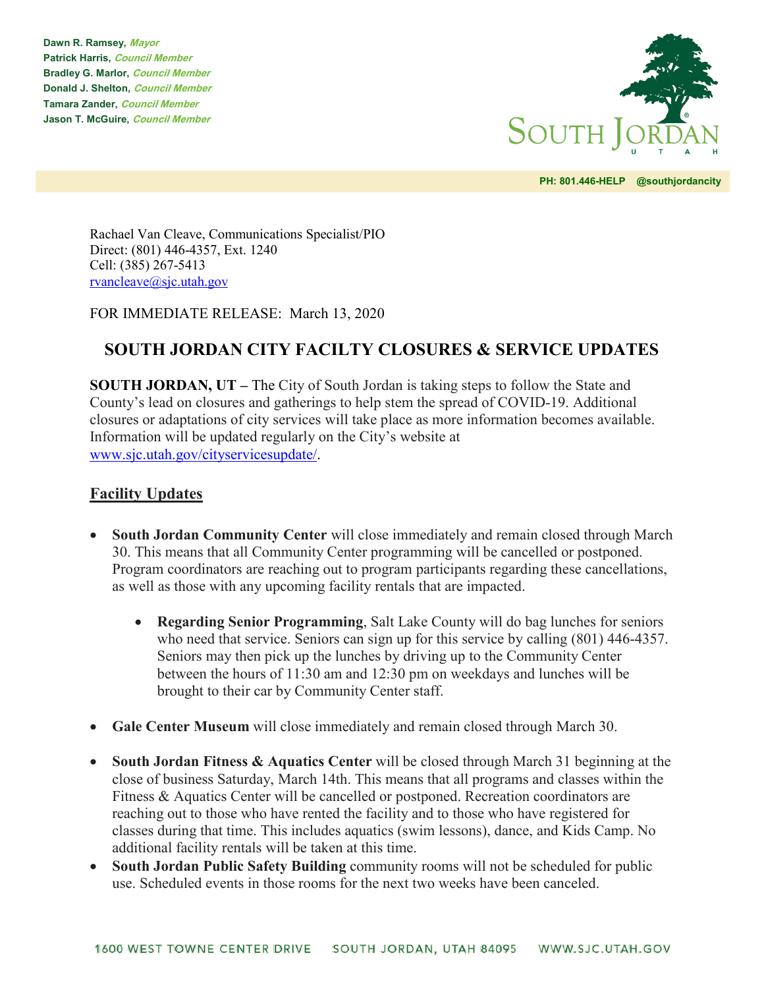**Dawn R. Ramsey, Mayor Patrick Harris, Council Member Bradley G. Marlor, Council Member Donald J. Shelton, Council Member Tamara Zander, Council Member Jason T. McGuire, Council Member**



**PH: 801.446-HELP @southjordancity** 

Rachael Van Cleave, Communications Specialist/PIO Direct: (801) 446-4357, Ext. 1240 Cell: (385) 267-5413 [rvancleave@sjc.utah.gov](mailto:rvancleave@sjc.utah.gov)

FOR IMMEDIATE RELEASE: March 13, 2020

## **SOUTH JORDAN CITY FACILTY CLOSURES & SERVICE UPDATES**

**SOUTH JORDAN, UT –** The City of South Jordan is taking steps to follow the State and County's lead on closures and gatherings to help stem the spread of COVID-19. Additional closures or adaptations of city services will take place as more information becomes available. Information will be updated regularly on the City's website at [www.sjc.utah.gov/cityservicesupdate/.](http://www.sjc.utah.gov/cityservicesupdate/)

## **Facility Updates**

- **South Jordan Community Center** will close immediately and remain closed through March 30. This means that all Community Center programming will be cancelled or postponed. Program coordinators are reaching out to program participants regarding these cancellations, as well as those with any upcoming facility rentals that are impacted.
	- **Regarding Senior Programming**, Salt Lake County will do bag lunches for seniors who need that service. Seniors can sign up for this service by calling (801) 446-4357. Seniors may then pick up the lunches by driving up to the Community Center between the hours of 11:30 am and 12:30 pm on weekdays and lunches will be brought to their car by Community Center staff.
- **Gale Center Museum** will close immediately and remain closed through March 30.
- **South Jordan Fitness & Aquatics Center** will be closed through March 31 beginning at the close of business Saturday, March 14th. This means that all programs and classes within the Fitness & Aquatics Center will be cancelled or postponed. Recreation coordinators are reaching out to those who have rented the facility and to those who have registered for classes during that time. This includes aquatics (swim lessons), dance, and Kids Camp. No additional facility rentals will be taken at this time.
- **South Jordan Public Safety Building** community rooms will not be scheduled for public use. Scheduled events in those rooms for the next two weeks have been canceled.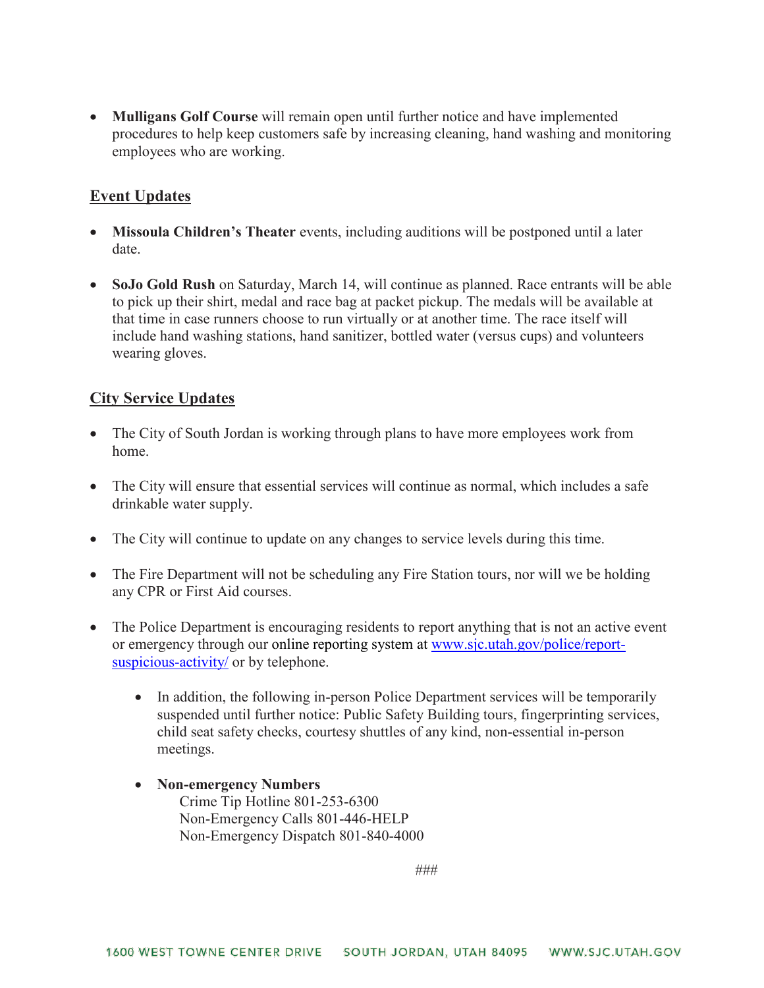• **Mulligans Golf Course** will remain open until further notice and have implemented procedures to help keep customers safe by increasing cleaning, hand washing and monitoring employees who are working.

## **Event Updates**

- **Missoula Children's Theater** events, including auditions will be postponed until a later date.
- **SoJo Gold Rush** on Saturday, March 14, will continue as planned. Race entrants will be able to pick up their shirt, medal and race bag at packet pickup. The medals will be available at that time in case runners choose to run virtually or at another time. The race itself will include hand washing stations, hand sanitizer, bottled water (versus cups) and volunteers wearing gloves.

## **City Service Updates**

- The City of South Jordan is working through plans to have more employees work from home.
- The City will ensure that essential services will continue as normal, which includes a safe drinkable water supply.
- The City will continue to update on any changes to service levels during this time.
- The Fire Department will not be scheduling any Fire Station tours, nor will we be holding any CPR or First Aid courses.
- The Police Department is encouraging residents to report anything that is not an active event or emergency through our online [reporting](https://www.sjc.utah.gov/police/report-suspicious-activity/) system at [www.sjc.utah.gov/police/report](http://www.sjc.utah.gov/police/report-suspicious-activity/)[suspicious-activity/](http://www.sjc.utah.gov/police/report-suspicious-activity/) or by telephone.
	- In addition, the following in-person Police Department services will be temporarily suspended until further notice: Public Safety Building tours, fingerprinting services, child seat safety checks, courtesy shuttles of any kind, non-essential in-person meetings.
	- **Non-emergency Numbers** Crime Tip Hotline 801-253-6300 Non-Emergency Calls 801-446-HELP Non-Emergency Dispatch 801-840-4000

###